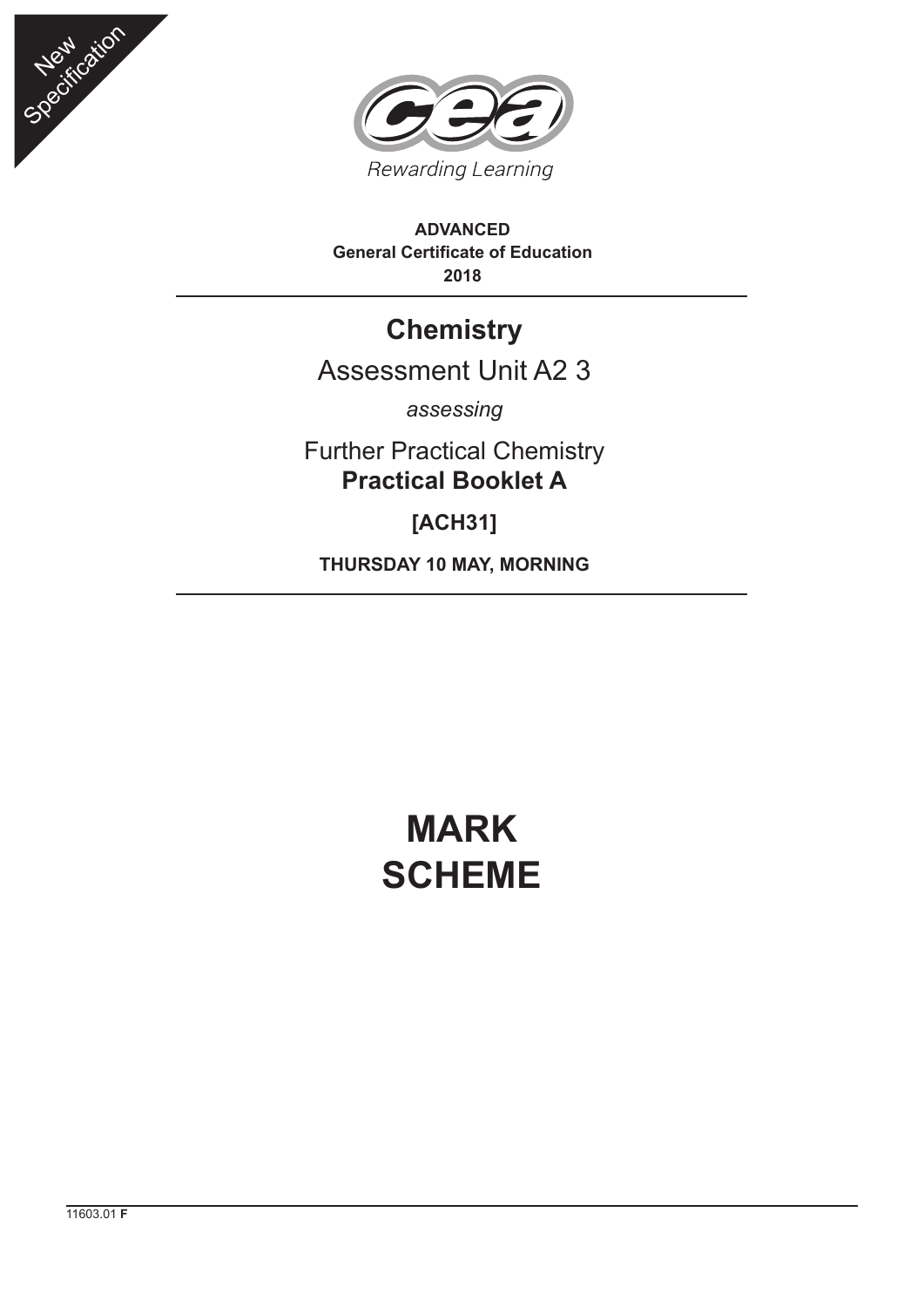



**ADVANCED General Certificate of Education 2018**

## **Chemistry**

## Assessment Unit A2 3

*assessing*

Further Practical Chemistry **Practical Booklet A**

**[ACH31]**

**THURSDAY 10 MAY, MORNING**

## **MARK SCHEME**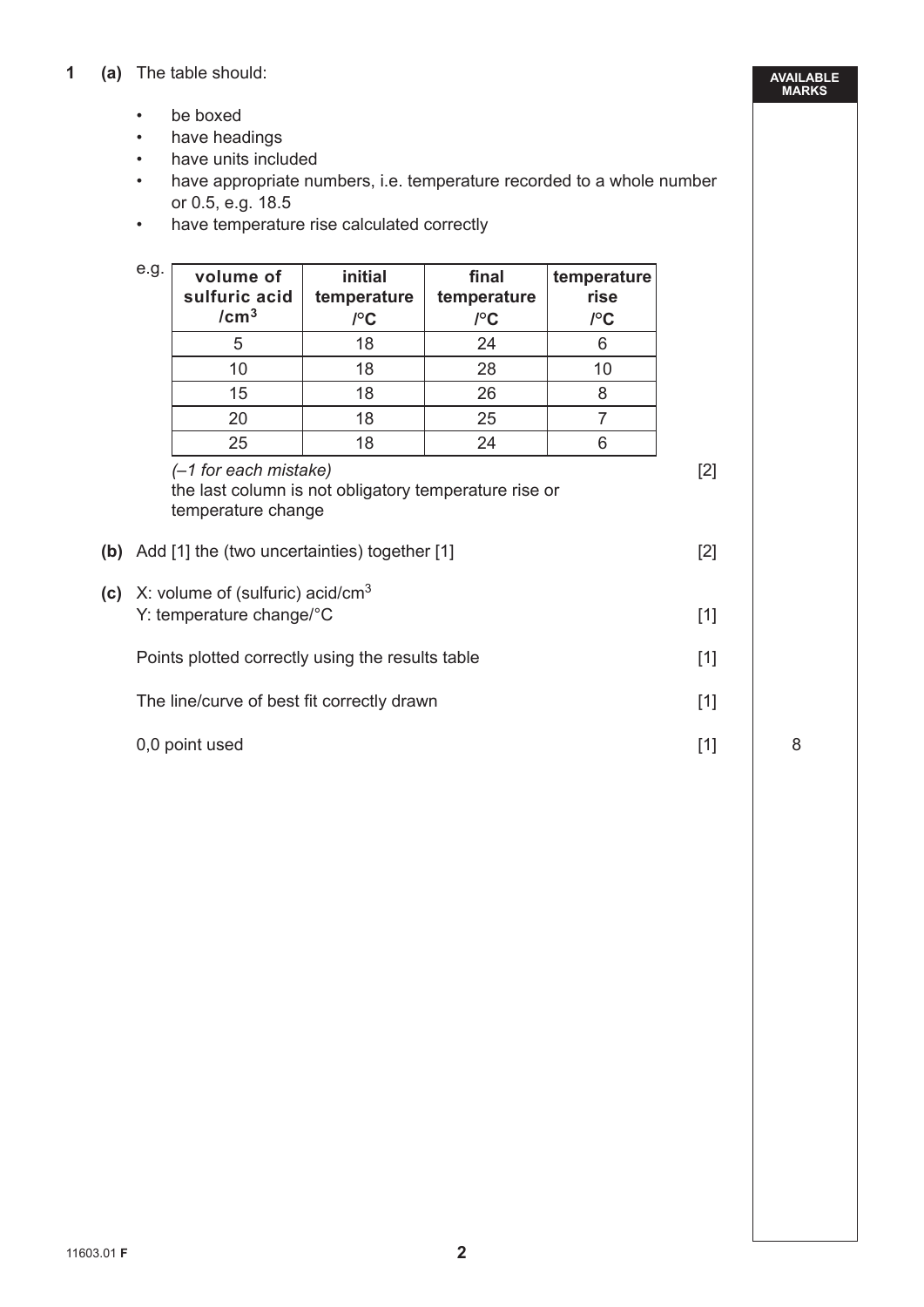- be boxed
- have headings
- have units included
- have appropriate numbers, i.e. temperature recorded to a whole number or 0.5, e.g. 18.5
- have temperature rise calculated correctly

|     | e.g.                                                                     | volume of<br>sulfuric acid<br>/cm <sup>3</sup>                                                                                                              | initial<br>temperature<br>$\int C$ | final<br>temperature<br>$\mathcal{C}$ | temperature<br>rise<br>$I^{\circ}$ C |       |  |
|-----|--------------------------------------------------------------------------|-------------------------------------------------------------------------------------------------------------------------------------------------------------|------------------------------------|---------------------------------------|--------------------------------------|-------|--|
|     |                                                                          | 5                                                                                                                                                           | 18                                 | 24                                    | 6                                    |       |  |
|     |                                                                          | 10                                                                                                                                                          | 18                                 | 28                                    | 10                                   |       |  |
|     |                                                                          | 15                                                                                                                                                          | 18                                 | 26                                    | 8                                    |       |  |
|     |                                                                          | 20                                                                                                                                                          | 18                                 | 25                                    | $\overline{7}$                       |       |  |
|     |                                                                          | 25                                                                                                                                                          | 18                                 | 24                                    | 6                                    |       |  |
|     |                                                                          | $(-1)$ for each mistake)<br>the last column is not obligatory temperature rise or<br>temperature change<br>(b) Add [1] the (two uncertainties) together [1] |                                    |                                       |                                      |       |  |
| (c) | X: volume of (sulfuric) acid/cm <sup>3</sup><br>Y: temperature change/°C |                                                                                                                                                             |                                    |                                       |                                      | $[1]$ |  |
|     | Points plotted correctly using the results table                         |                                                                                                                                                             |                                    |                                       |                                      |       |  |
|     | The line/curve of best fit correctly drawn                               | $[1]$                                                                                                                                                       |                                    |                                       |                                      |       |  |
|     |                                                                          | 0,0 point used                                                                                                                                              |                                    |                                       |                                      | $[1]$ |  |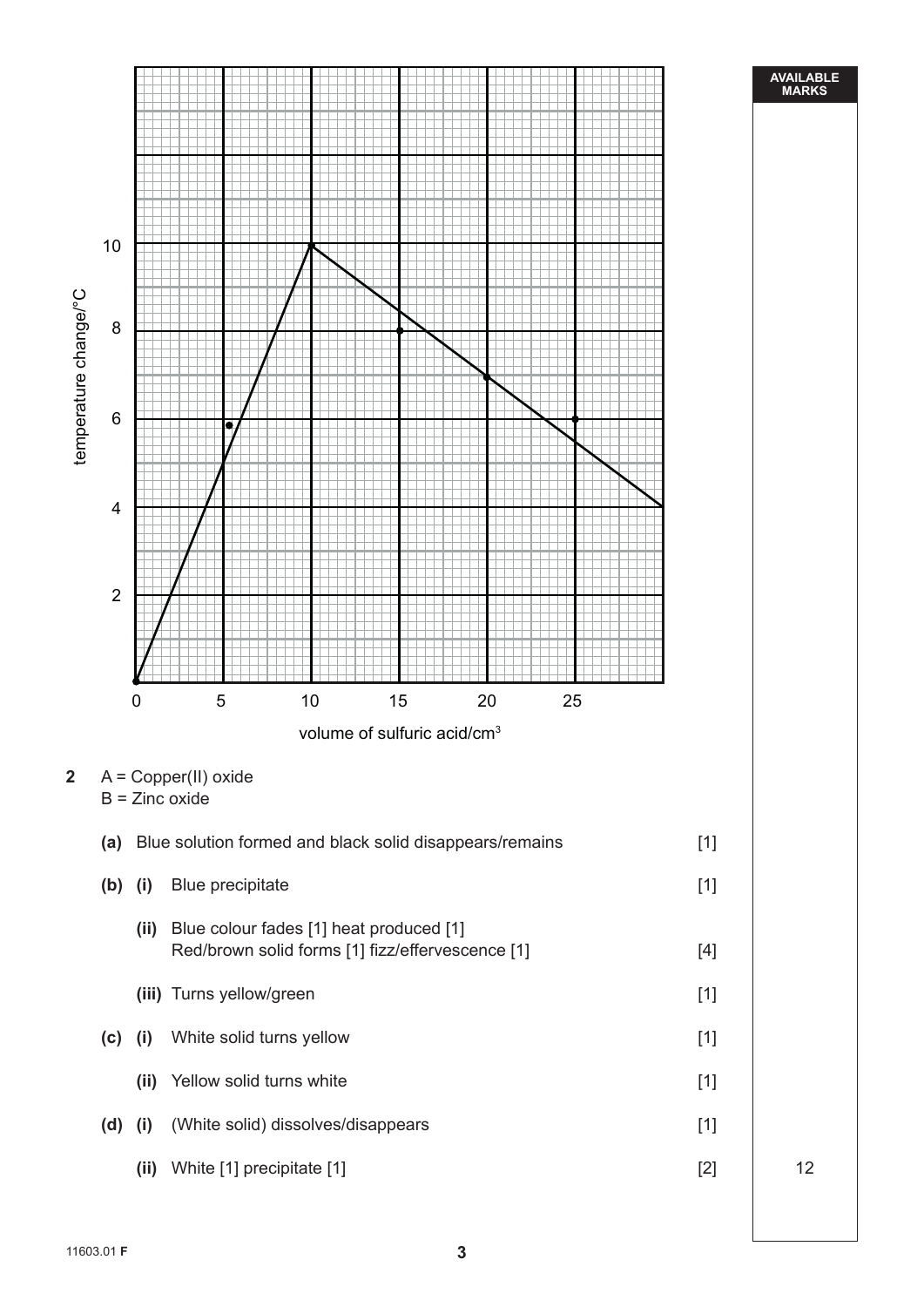